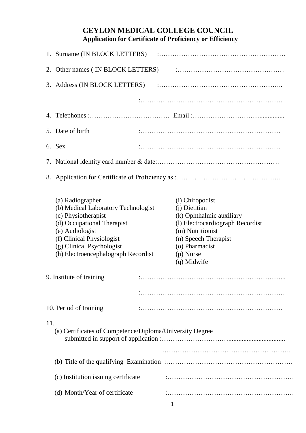## **CEYLON MEDICAL COLLEGE COUNCIL Application for Certificate of Proficiency or Efficiency**

|     | 5. Date of birth                                                                                                                                                                                                                                             |                                                                                                                                                                                            |
|-----|--------------------------------------------------------------------------------------------------------------------------------------------------------------------------------------------------------------------------------------------------------------|--------------------------------------------------------------------------------------------------------------------------------------------------------------------------------------------|
|     | 6. Sex                                                                                                                                                                                                                                                       |                                                                                                                                                                                            |
|     |                                                                                                                                                                                                                                                              |                                                                                                                                                                                            |
|     |                                                                                                                                                                                                                                                              |                                                                                                                                                                                            |
|     | (a) Radiographer<br>(b) Medical Laboratory Technologist<br>(c) Physiotherapist<br>(d) Occupational Therapist<br>(e) Audiologist<br>(f) Clinical Physiologist<br>(g) Clinical Psychologist<br>(h) Electroencephalograph Recordist<br>9. Institute of training | (i) Chiropodist<br>(j) Dietitian<br>(k) Ophthalmic auxiliary<br>(1) Electrocardiograph Recordist<br>(m) Nutritionist<br>(n) Speech Therapist<br>(o) Pharmacist<br>(p) Nurse<br>(q) Midwife |
|     |                                                                                                                                                                                                                                                              |                                                                                                                                                                                            |
|     | 10. Period of training                                                                                                                                                                                                                                       |                                                                                                                                                                                            |
| 11. | (a) Certificates of Competence/Diploma/University Degree                                                                                                                                                                                                     |                                                                                                                                                                                            |
|     |                                                                                                                                                                                                                                                              |                                                                                                                                                                                            |
|     | (c) Institution issuing certificate                                                                                                                                                                                                                          |                                                                                                                                                                                            |
|     | (d) Month/Year of certificate                                                                                                                                                                                                                                |                                                                                                                                                                                            |
|     |                                                                                                                                                                                                                                                              |                                                                                                                                                                                            |